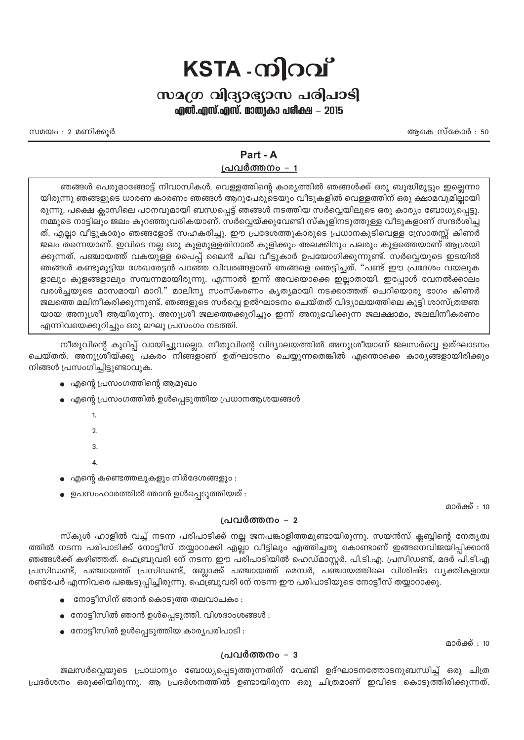# $KSTA$  - ကါဂဂါ

## സമഗ്ര വിദ്യാഭ്യാസ പരിപാടി

എൽ.എസ്.എസ്. മാത്വകാ പരീക്ഷ – 2015

അകെ സ്കോർ : 50

സമയം : 2 മണിക്കുർ

# Part - A

### പ്രവർത്തനം - 1

ഞങ്ങൾ പെരുമാങ്ങോട്ട് നിവാസികൾ. വെള്ളത്തിന്റെ കാര്യത്തിൽ ഞങ്ങൾക്ക് ഒരു ബുദ്ധിമുട്ടും ഇല്ലെന്നാ യിരുന്നു ഞങ്ങളുടെ ധാരണ കാരണം ഞങ്ങൾ ആറുപേരുടെയും വീടുകളിൽ വെള്ളത്തിന് ഒരു ക്ഷാമവുമില്ലായി രുന്നു. പക്ഷെ ക്ലാസിലെ പഠനവുമായി ബന്ധപ്പെട്ട് ഞങ്ങൾ നടത്തിയ സർവ്വെയിലൂടെ ഒരു കാര്യം ബോധ്യപ്പെട്ടു. നമ്മുടെ നാട്ടിലും ജലം കുറഞ്ഞുവരികയാണ്. സർവ്വെയ്ക്കുവേണ്ടി സ്കൂളിനടുത്തുള്ള വീടുകളാണ് സന്ദർശിച്ച ത്. എല്ലാ വീട്ടുകാരും ഞങ്ങളോട് സഹകരിച്ചു. ഈ പ്രദേശത്തുകാരുടെ പ്രധാനകുടിവെള്ള സ്രോതസ്സ് കിണർ ജലം തന്നെയാണ്. ഇവിടെ നല്ല ഒരു കുളമുള്ളതിനാൽ കുളിക്കും അലക്കിനും പലരും കുളത്തെയാണ് ആശ്രയി ക്കുന്നത്. പഞ്ചായത്ത് വകയുള്ള പൈപ്പ് ലൈൻ ചില വീട്ടുകാർ ഉപയോഗിക്കുന്നുണ്ട്. സർവ്വെയുടെ ഇടയിൽ ഞങ്ങൾ കണ്ടുമുട്ടിയ ശേഖരേട്ടൻ പറഞ്ഞ വിവരങ്ങളാണ് ഞങ്ങളെ ഞെട്ടിച്ചത്. "പണ്ട് ഈ പ്രദേശം വയലുക ളാലും കുളങ്ങളാലും സമ്പന്നമായിരുന്നു. എന്നാൽ ഇന്ന് അവയൊക്കെ ഇല്ലാതായി. ഇപ്പോൾ വേനൽക്കാലം വരൾച്ചയുടെ മാസമായി മാറി." മാലിന്യ സംസ്കരണം കൃത്യമായി നടക്കാത്തത് ചെറിയൊരു ഭാഗം കിണർ ജലത്തെ മലിനീകരിക്കുന്നുണ്ട്. ഞങ്ങളുടെ സർവ്വെ ഉൽഘാടനം ചെയ്തത് വിദ്യാലയത്തിലെ കുട്ടി ശാസ്ത്രജ്ഞ യായ അനുശ്രീ ആയിരുന്നു. അനുശ്രീ ജലത്തെക്കുറിച്ചും ഇന്ന് അനുഭവിക്കുന്ന ജലക്ഷാമം, ജലലിനീകരണം എന്നിവയെക്കുറിച്ചും ഒരു ലഘു പ്രസംഗം നടത്തി.

നീതുവിന്റെ കുറിപ്പ് വായിച്ചുവല്ലൊ. നീതുവിന്റെ വിദ്യാലയത്തിൽ അനുശ്രീയാണ് ജലസർവ്വെ ഉത്ഘാടനം ചെയ്തത്. അനുശ്രീയ്ക്കു പകരം നിങ്ങളാണ് ഉത്ഘാടനം ചെയ്യുന്നതെങ്കിൽ എന്തൊക്കെ കാര്യങ്ങളായിരിക്കും നിങ്ങൾ പ്രസംഗിച്ചിട്ടുണ്ടാവുക.

- എന്റെ പ്രസംഗത്തിന്റെ ആമുഖം
- എന്റെ പ്രസംഗത്തിൽ ഉൾപ്പെടുത്തിയ പ്രധാനആശയങ്ങൾ
	- $\mathbf{1}$  $\mathfrak{D}$  $\overline{3}$  $\Lambda$
- എന്റെ കണ്ടെത്തലുകളും നിർദേശങ്ങളും :
- ഉപസംഹാരത്തിൽ ഞാൻ ഉൾപ്പെടുത്തിയത് :

മാർക്ക് : 10

#### പ്രവർത്തനം – 2

സ്കൂൾ ഹാളിൽ വച്ച് നടന്ന പരിപാടിക്ക് നല്ല ജനപങ്കാളിത്തമുണ്ടായിരുന്നു. സയൻസ് ക്ലബ്ബിന്റെ നേതൃത്വ ത്തിൽ നടന്ന പരിപാടിക്ക് നോട്ടീസ് തയ്യാറാക്കി എല്ലാ വീട്ടിലും എത്തിച്ചതു കൊണ്ടാണ് ഇങ്ങനെവിജയിപ്പിക്കാൻ ഞങ്ങൾക്ക് കഴിഞ്ഞത്. ഫെബ്രുവരി ണ് നടന്ന ഈ പരിപാടിയിൽ ഹെഡ്മാസ്റ്റർ, പി.ടി.എ. പ്രസിഡണ്ട്, മദർ പി.ടി.എ പ്രസിഡണ്ട്, പഞ്ചായത്ത് പ്രസിഡണ്ട്, ബ്ലോക്ക് പഞ്ചായത്ത് മെമ്പർ, പഞ്ചായത്തിലെ വിശിഷ്ട വൃക്തികളായ രണ്ട്പേർ എന്നിവരെ പങ്കെടുപ്പിച്ചിരുന്നു. ഫെബ്രുവരി ണ് നടന്ന ഈ പരിപാടിയുടെ നോട്ടീസ് തയ്യാറാക്കൂ.

- നോട്ടീസിന് ഞാൻ കൊടുത്ത തലവാചകം :
- $\bullet$  നോട്ടീസിൽ ഞാൻ ഉൾപ്പെടുത്തി. വിശദാംശങ്ങൾ :
- $\bullet$  നോട്ടീസിൽ ഉൾപെടുത്തിയ കാര്യപരിപാടി :

#### പ്രവർത്തനം – 3

ജലസർവ്വെയുടെ പ്രാധാന്യം ബോധ്യപ്പെടുത്തുന്നതിന് വേണ്ടി ഉദ്ഘാടനത്തോടനുബന്ധിച്ച് ഒരു ചിത്ര പ്രദർശനം ഒരുക്കിയിരുന്നു. ആ പ്രദർശനത്തിൽ ഉണ്ടായിരുന്ന ഒരു ചിത്രമാണ് ഇവിടെ കൊടുത്തിരിക്കുന്നത്.

മാർക്ക് : 10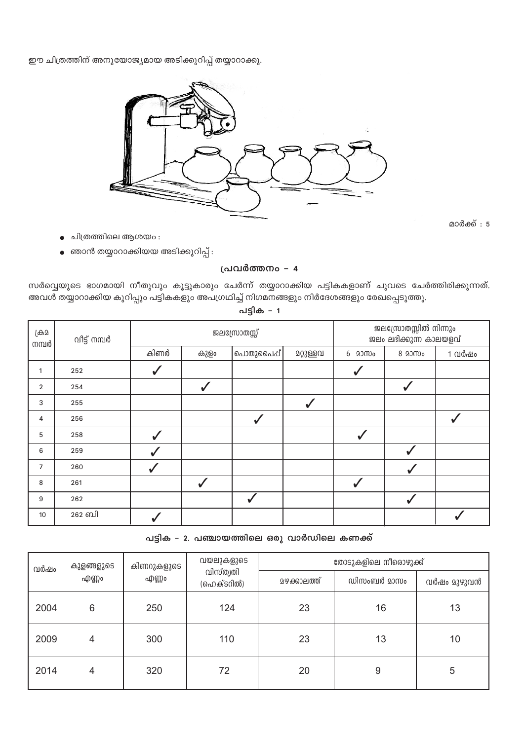| <u>--</u> ,<br>$\cdots$ $\cdots$ $\cdots$ |                     |                     |                                      |                      |             |             |  |  |  |  |  |  |
|-------------------------------------------|---------------------|---------------------|--------------------------------------|----------------------|-------------|-------------|--|--|--|--|--|--|
| വർഷം                                      | കുളങ്ങളുടെ<br>എണ്ണം | കിണറുകളുടെ<br>എണ്ണം | വയലുകളുടെ<br>വിസ്ത്വതി<br>(ഹെക്ടറിൽ) | തോടുകളിലെ നീരൊഴുക്ക് |             |             |  |  |  |  |  |  |
|                                           |                     |                     |                                      | <u>മഴക്കാലത്ത്</u>   | ഡിസംബർ മാസം | വർഷം മുഴുവൻ |  |  |  |  |  |  |
| 2004                                      | 6                   | 250                 | 124                                  | 23                   | 16          | 13          |  |  |  |  |  |  |
| 2009                                      | 4                   | 300                 | 110                                  | 23                   | 13          | 10          |  |  |  |  |  |  |
| 2014                                      | 4                   | 320                 | 72                                   | 20                   | 9           | 5           |  |  |  |  |  |  |

### പട്ടിക – 2. പഞ്ചായത്തിലെ ഒരു വാർഡിലെ കണക്ക്

| ക്ര്ര<br>നമ്പർ | വീട്ട് നമ്പർ | ജലസ്രോതസ്സ്  |              |              |           | ജലസ്രോതസ്സിൽ നിന്നും<br>ജലം ലഭിക്കുന്ന കാലയളവ് |              |        |
|----------------|--------------|--------------|--------------|--------------|-----------|------------------------------------------------|--------------|--------|
|                |              | കിണർ         | കുളം         | പൊതുപൈപ്പ്   | മറ്റുള്ളവ | 6 2000                                         | 8 20Mo       | 1 വർഷം |
| 1              | 252          | $\checkmark$ |              |              |           |                                                |              |        |
| $\overline{2}$ | 254          |              | $\checkmark$ |              |           |                                                |              |        |
| 3              | 255          |              |              |              | ✓         |                                                |              |        |
| 4              | 256          |              |              | $\checkmark$ |           |                                                |              |        |
| 5              | 258          | $\checkmark$ |              |              |           | $\checkmark$                                   |              |        |
| 6              | 259          | $\checkmark$ |              |              |           |                                                | $\checkmark$ |        |
| $\overline{7}$ | 260          | $\checkmark$ |              |              |           |                                                | $\checkmark$ |        |
| 8              | 261          |              | $\checkmark$ |              |           | ✔                                              |              |        |
| 9              | 262          |              |              |              |           |                                                | $\checkmark$ |        |
| 10             | 262 ബി       |              |              |              |           |                                                |              |        |

പട്ടിക – 1

അവൾ തയ്യാറാക്കിയ കുറിപ്പും പട്ടികകളും അപഗ്രഥിച്ച് നിഗമനങ്ങളും നിർദേശങ്ങളും രേഖപ്പെടുത്തൂ.

സർവ്വെയുടെ ഭാഗമായി നീതുവും കൂട്ടുകാരും ചേർന്ന് തയ്യാറാക്കിയ പട്ടികകളാണ് ചുവടെ ചേർത്തിരിക്കുന്നത്.

#### പ്രവർത്തനം - 4

- ഞാൻ തയ്യാറാക്കിയയ അടിക്കുറിപ്പ് :  $\bullet$
- ചിത്രത്തിലെ ആശയം :

മാർക്ക് : 5

ജലസ്രോതസ്സിൽ നിന്നും



ഈ ചിത്രത്തിന് അനുയോജ്യമായ അടിക്കുറിപ്പ് തയ്യാറാക്കൂ.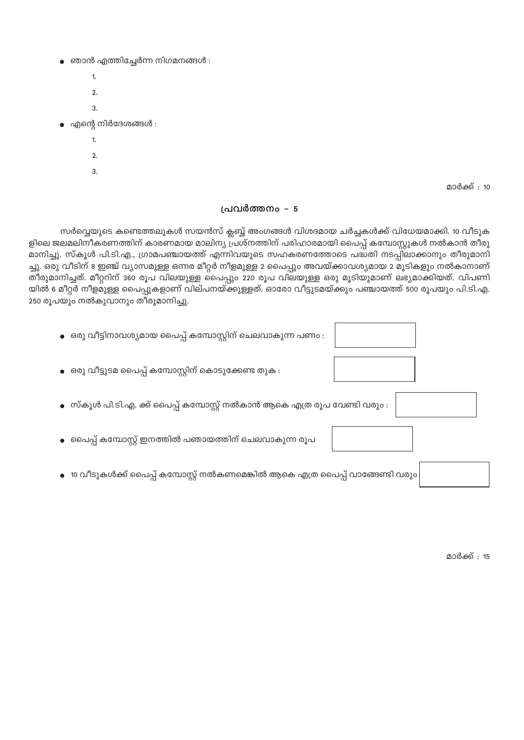- ഞാൻ എത്തിച്ചേർന്ന നിഗമനങ്ങൾ :
	- $\overline{1}$ .
	- $\mathcal{L}$ 3.
- $\bullet$  എന്റെ നിർദേശങ്ങൾ :
	- $\mathbf{1}$
	- $\overline{2}$
	- $\overline{3}$

മാർക്ക് : 10

#### പ്രവർത്തനം – 5

സർവ്വെയുടെ കണ്ടെത്തലുകൾ സയൻസ് ക്ലബ്ബ് അംഗങ്ങൾ വിശദമായ ചർച്ചകൾക്ക് വിധേയമാക്കി. 10 വീടുക ളിലെ ജലമലിനീകരണത്തിന് കാരണമായ മാലിന്യ പ്രശ്നത്തിന് പരിഹാരമായി പൈപ്പ് കമ്പോസ്റ്റുകൾ നൽകാൻ തീരു മാനിച്ചു. സ്കൂൾ പി.ടി.എ., ഗ്രാമപഞ്ചായത്ത് എന്നിവയുടെ സഹകരണത്തോടെ പദ്ധതി നടപ്പിലാക്കാനും തീരുമാനി ച്ചു. ഒരു വീടിന് 8 ഇഞ്ച് വ്യാസമുള്ള ഒന്നര മീറ്റർ നീളമുള്ള 2 പൈപ്പും അവയ്ക്കാവശ്യമായ 2 മൂടികളും നൽകാനാണ് തീരുമാനിച്ചത്. മീറ്ററിന് 360 രൂപ വിലയുള്ള പൈപ്പും 220 രൂപ വിലയുള്ള ഒരു മൂടിയുമാണ് ലഭ്യമാക്കിയത്. വിപണി യിൽ 6 മീറ്റർ നീളമുള്ള പൈപ്പുകളാണ് വില്പനയ്ക്കുള്ളത്. ഓരോ വീട്ടുടമയ്ക്കും പഞ്ചായത്ത് 500 രൂപയും പി.ടി.എ. 250 രൂപയും നൽകുവാനും തീരുമാനിച്ചു.

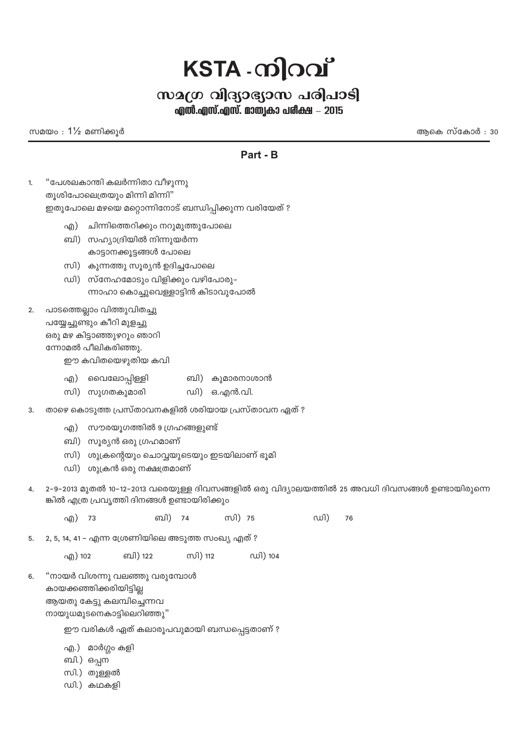# $KSTA$  - ကါုဝင်္ကျ

## സമഗ്ര വിദ്യാഭ്യാസ പരിപാടി

എൽ.എസ്.എസ്. മാത്വകാ പരീക്ഷ – 2015

സമയം $: 1\frac{1}{2}$  മണിക്കുർ

അകെ സ്കോർ : 30

## Part - B

- "പേശലകാന്തി കലർന്നിതാ വീഴുന്നു  $\mathbf{1}$ തൂശിപോലെത്രയും മിന്നി മിന്നി" ഇതുപോലെ മഴയെ മറ്റൊന്നിനോട് ബന്ധിപ്പിക്കുന്ന വരിയേത് ?
	- ചിന്നിത്തെറിക്കും നറുമുത്തുപോലെ എ)
	- ബി) സഹ്യാദ്രിയിൽ നിന്നുയർന്ന കാട്ടാനക്കൂട്ടങ്ങൾ പോലെ
	- സി) കുന്നത്തു സൂര്യൻ ഉദിച്ചപോലെ
	- ഡി) സ്നേഹമോടും വിളിക്കും വഴിപോരു– ന്നാഹാ കൊച്ചുവെള്ളാട്ടിൻ കിടാവുപോൽ
- $2.$ പാടത്തെല്ലാം വിത്തുവിതച്ചു
	- പയ്യേച്ചുണ്ടും കീറി മുളച്ചു ഒരു മഴ കിട്ടാഞ്ഞുഴറും ഞാറി ന്നോമൽ പീലികരിഞ്ഞു. ഈ കവിതയെഴുതിയ കവി
		- എ) വൈലോപ്പിള്ളി ബി) കുമാരനാശാൻ
		- സി) സുഗതകുമാരി ഡി) ഒ.എൻ.വി.
- താഴെ കൊടുത്ത പ്രസ്താവനകളിൽ ശരിയായ പ്രസ്താവന ഏത് ?  $\overline{3}$ .
	- എ) സൗരയൂഗത്തിൽ 9 ഗ്രഹങ്ങളുണ്ട്
	- ബി) സൂര്യൻ ഒരു ഗ്രഹമാണ്
	- സി) ശുക്രന്റെയും ചൊവ്വയുടെയും ഇടയിലാണ് ഭൂമി
	- ഡി) ശുക്രൻ ഒരു നക്ഷത്രമാണ്
- 2-9-2013 മുതൽ 10-12-2013 വരെയുള്ള ദിവസങ്ങളിൽ ഒരു വിദ്യാലയത്തിൽ 25 അവധി ദിവസങ്ങൾ ഉണ്ടായിരുന്നെ  $\Delta$ ങ്കിൽ എത്ര പ്രവൃത്തി ദിനങ്ങൾ ഉണ്ടായിരിക്കും
	- ബി) 74 സി) 75 എ) 73 ഡി) 76
- 2, 5, 14, 41 എന്ന ശ്രേണിയിലെ അടുത്ത സംഖ്യ എത് ? 5.

സി) 112 ഡി) 104 എ) 102 ബി) 122

"നായർ വിശന്നു വലഞ്ഞു വരുമ്പോൾ  $6.$ കായക്കഞ്ഞിക്കരിയിട്ടില്ല ആയതു കേട്ടു കലമ്പിച്ചെന്നവ നായുധമുടനെകാട്ടിലെറിഞ്ഞു"

ഈ വരികൾ ഏത് കലാരൂപവുമായി ബന്ധപ്പെട്ടതാണ് ?

- എ.) മാർഗ്ഗം കളി
- ബി.) ഒപ്പന
- സി.) തുള്ളൽ
- ഡി.) കഥകളി